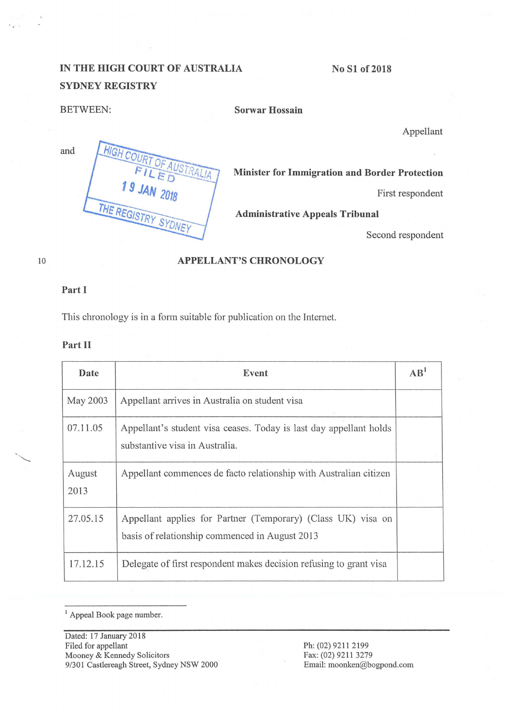# **IN THE HIGH COURT OF AUSTRALIA SYDNEY REGISTRY**

### **No Sl of2018**

BETWEEN: **Sorwar Hossain** 

Appellant

| and | HIGH COURT OF AUSTRALIA |
|-----|-------------------------|
|     |                         |
|     | 1 9 JAN 2018            |
|     | THE REGISTRY SYDNEY     |

**Minister for Immigration and Border Protection** 

First respondent

**Administrative Appeals Tribunal** 

Second respondent

#### 10

# **APPELLANT'S CHRONOLOGY**

# **Part I**

This chronology is in a form suitable for publication on the Internet.

### **Part Il**

| Date           | Event                                                                                                          | AB <sup>1</sup> |
|----------------|----------------------------------------------------------------------------------------------------------------|-----------------|
| May 2003       | Appellant arrives in Australia on student visa                                                                 |                 |
| 07.11.05       | Appellant's student visa ceases. Today is last day appellant holds<br>substantive visa in Australia.           |                 |
| August<br>2013 | Appellant commences de facto relationship with Australian citizen                                              |                 |
| 27.05.15       | Appellant applies for Partner (Temporary) (Class UK) visa on<br>basis of relationship commenced in August 2013 |                 |
| 17.12.15       | Delegate of first respondent makes decision refusing to grant visa                                             |                 |

<sup>1</sup> Appeal Book page number.

Ph: (02) 9211 2199 Fax: (02) 9211 3279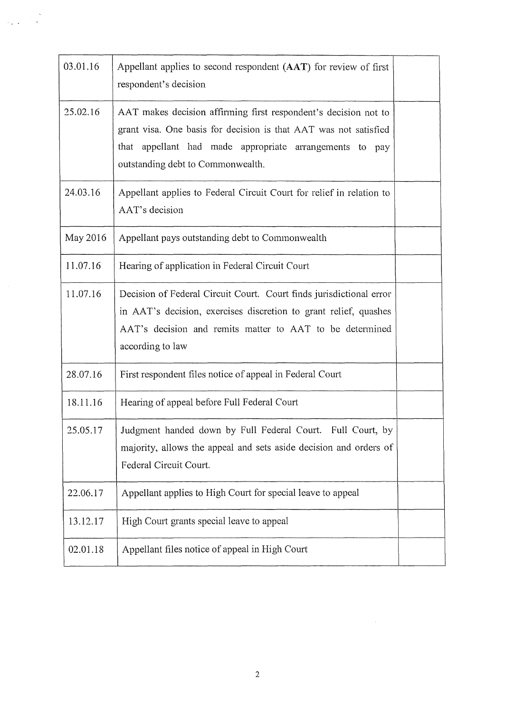| 03.01.16 | Appellant applies to second respondent (AAT) for review of first<br>respondent's decision                                                                                                                                           |  |
|----------|-------------------------------------------------------------------------------------------------------------------------------------------------------------------------------------------------------------------------------------|--|
| 25.02.16 | AAT makes decision affirming first respondent's decision not to<br>grant visa. One basis for decision is that AAT was not satisfied<br>that appellant had made appropriate arrangements to pay<br>outstanding debt to Commonwealth. |  |
| 24.03.16 | Appellant applies to Federal Circuit Court for relief in relation to<br>AAT's decision                                                                                                                                              |  |
| May 2016 | Appellant pays outstanding debt to Commonwealth                                                                                                                                                                                     |  |
| 11.07.16 | Hearing of application in Federal Circuit Court                                                                                                                                                                                     |  |
| 11.07.16 | Decision of Federal Circuit Court. Court finds jurisdictional error<br>in AAT's decision, exercises discretion to grant relief, quashes<br>AAT's decision and remits matter to AAT to be determined<br>according to law             |  |
| 28.07.16 | First respondent files notice of appeal in Federal Court                                                                                                                                                                            |  |
| 18.11.16 | Hearing of appeal before Full Federal Court                                                                                                                                                                                         |  |
| 25.05.17 | Judgment handed down by Full Federal Court. Full Court, by<br>majority, allows the appeal and sets aside decision and orders of<br>Federal Circuit Court.                                                                           |  |
| 22.06.17 | Appellant applies to High Court for special leave to appeal                                                                                                                                                                         |  |
| 13.12.17 | High Court grants special leave to appeal                                                                                                                                                                                           |  |
| 02.01.18 | Appellant files notice of appeal in High Court                                                                                                                                                                                      |  |

 $\frac{1}{\sqrt{2}}\frac{1}{\sqrt{2}}\frac{1}{\sqrt{2}}\frac{1}{\sqrt{2}}\frac{1}{\sqrt{2}}\frac{1}{\sqrt{2}}\frac{1}{\sqrt{2}}\frac{1}{\sqrt{2}}\frac{1}{\sqrt{2}}\frac{1}{\sqrt{2}}\frac{1}{\sqrt{2}}\frac{1}{\sqrt{2}}\frac{1}{\sqrt{2}}\frac{1}{\sqrt{2}}\frac{1}{\sqrt{2}}\frac{1}{\sqrt{2}}\frac{1}{\sqrt{2}}\frac{1}{\sqrt{2}}\frac{1}{\sqrt{2}}\frac{1}{\sqrt{2}}\frac{1}{\sqrt{2}}\frac{1}{\sqrt{2}}$